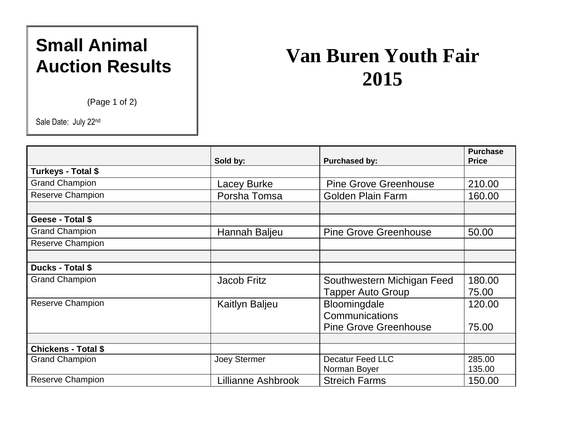## **Small Animal Auction Results**

(Page 1 of 2)

Sale Date: July 22nd

## **Van Buren Youth Fair 2015**

|                            | Sold by:              | <b>Purchased by:</b>                                   | <b>Purchase</b><br><b>Price</b> |
|----------------------------|-----------------------|--------------------------------------------------------|---------------------------------|
| Turkeys - Total \$         |                       |                                                        |                                 |
| <b>Grand Champion</b>      | Lacey Burke           | <b>Pine Grove Greenhouse</b>                           | 210.00                          |
| <b>Reserve Champion</b>    | Porsha Tomsa          | <b>Golden Plain Farm</b>                               | 160.00                          |
| Geese - Total \$           |                       |                                                        |                                 |
| <b>Grand Champion</b>      | Hannah Baljeu         | <b>Pine Grove Greenhouse</b>                           | 50.00                           |
| <b>Reserve Champion</b>    |                       |                                                        |                                 |
| Ducks - Total \$           |                       |                                                        |                                 |
| <b>Grand Champion</b>      | Jacob Fritz           | Southwestern Michigan Feed<br><b>Tapper Auto Group</b> | 180.00<br>75.00                 |
| <b>Reserve Champion</b>    | <b>Kaitlyn Baljeu</b> | Bloomingdale<br>Communications                         | 120.00                          |
|                            |                       | <b>Pine Grove Greenhouse</b>                           | 75.00                           |
|                            |                       |                                                        |                                 |
| <b>Chickens - Total \$</b> |                       |                                                        |                                 |
| <b>Grand Champion</b>      | Joey Stermer          | <b>Decatur Feed LLC</b>                                | 285.00                          |
| <b>Reserve Champion</b>    | Lillianne Ashbrook    | Norman Boyer<br><b>Streich Farms</b>                   | 135.00<br>150.00                |